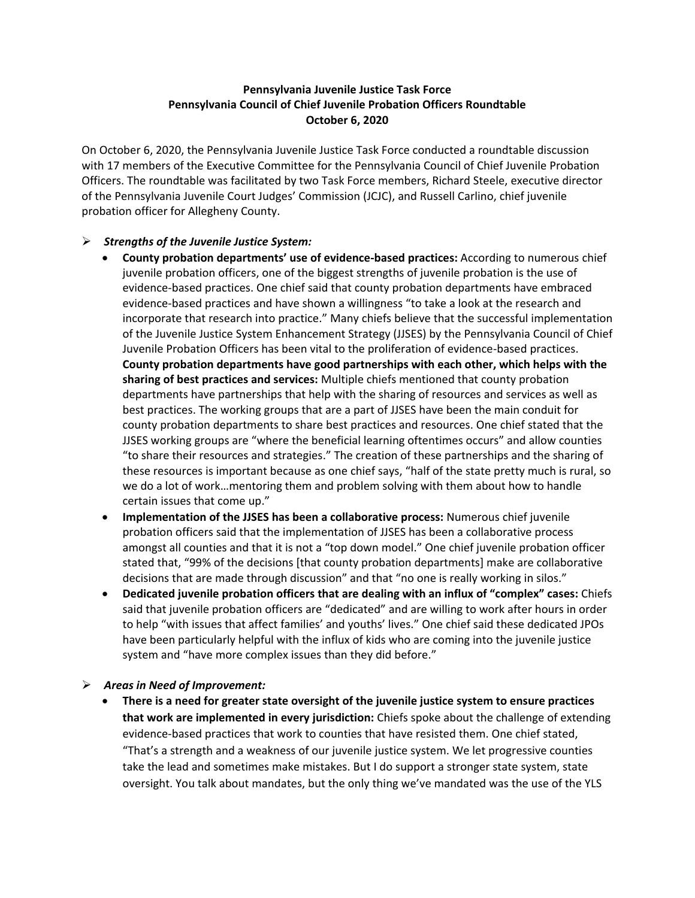## **Pennsylvania Juvenile Justice Task Force Pennsylvania Council of Chief Juvenile Probation Officers Roundtable October 6, 2020**

On October 6, 2020, the Pennsylvania Juvenile Justice Task Force conducted a roundtable discussion with 17 members of the Executive Committee for the Pennsylvania Council of Chief Juvenile Probation Officers. The roundtable was facilitated by two Task Force members, Richard Steele, executive director of the Pennsylvania Juvenile Court Judges' Commission (JCJC), and Russell Carlino, chief juvenile probation officer for Allegheny County.

## *Strengths of the Juvenile Justice System:*

- **County probation departments' use of evidence-based practices:** According to numerous chief juvenile probation officers, one of the biggest strengths of juvenile probation is the use of evidence-based practices. One chief said that county probation departments have embraced evidence-based practices and have shown a willingness "to take a look at the research and incorporate that research into practice." Many chiefs believe that the successful implementation of the Juvenile Justice System Enhancement Strategy (JJSES) by the Pennsylvania Council of Chief Juvenile Probation Officers has been vital to the proliferation of evidence-based practices. **County probation departments have good partnerships with each other, which helps with the sharing of best practices and services:** Multiple chiefs mentioned that county probation departments have partnerships that help with the sharing of resources and services as well as best practices. The working groups that are a part of JJSES have been the main conduit for county probation departments to share best practices and resources. One chief stated that the JJSES working groups are "where the beneficial learning oftentimes occurs" and allow counties "to share their resources and strategies." The creation of these partnerships and the sharing of these resources is important because as one chief says, "half of the state pretty much is rural, so we do a lot of work…mentoring them and problem solving with them about how to handle certain issues that come up."
- **Implementation of the JJSES has been a collaborative process:** Numerous chief juvenile probation officers said that the implementation of JJSES has been a collaborative process amongst all counties and that it is not a "top down model." One chief juvenile probation officer stated that, "99% of the decisions [that county probation departments] make are collaborative decisions that are made through discussion" and that "no one is really working in silos."
- **Dedicated juvenile probation officers that are dealing with an influx of "complex" cases:** Chiefs said that juvenile probation officers are "dedicated" and are willing to work after hours in order to help "with issues that affect families' and youths' lives." One chief said these dedicated JPOs have been particularly helpful with the influx of kids who are coming into the juvenile justice system and "have more complex issues than they did before."

## *Areas in Need of Improvement:*

 **There is a need for greater state oversight of the juvenile justice system to ensure practices that work are implemented in every jurisdiction:** Chiefs spoke about the challenge of extending evidence-based practices that work to counties that have resisted them. One chief stated, "That's a strength and a weakness of our juvenile justice system. We let progressive counties take the lead and sometimes make mistakes. But I do support a stronger state system, state oversight. You talk about mandates, but the only thing we've mandated was the use of the YLS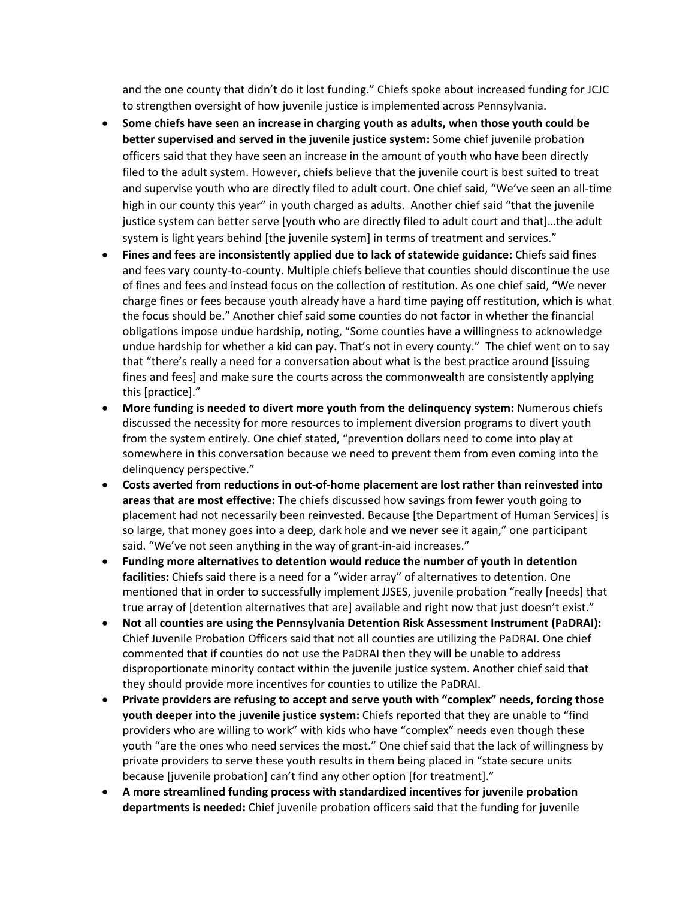and the one county that didn't do it lost funding." Chiefs spoke about increased funding for JCJC to strengthen oversight of how juvenile justice is implemented across Pennsylvania.

- **Some chiefs have seen an increase in charging youth as adults, when those youth could be better supervised and served in the juvenile justice system:** Some chief juvenile probation officers said that they have seen an increase in the amount of youth who have been directly filed to the adult system. However, chiefs believe that the juvenile court is best suited to treat and supervise youth who are directly filed to adult court. One chief said, "We've seen an all-time high in our county this year" in youth charged as adults. Another chief said "that the juvenile justice system can better serve [youth who are directly filed to adult court and that]…the adult system is light years behind [the juvenile system] in terms of treatment and services."
- **Fines and fees are inconsistently applied due to lack of statewide guidance:** Chiefs said fines and fees vary county-to-county. Multiple chiefs believe that counties should discontinue the use of fines and fees and instead focus on the collection of restitution. As one chief said, **"**We never charge fines or fees because youth already have a hard time paying off restitution, which is what the focus should be." Another chief said some counties do not factor in whether the financial obligations impose undue hardship, noting, "Some counties have a willingness to acknowledge undue hardship for whether a kid can pay. That's not in every county." The chief went on to say that "there's really a need for a conversation about what is the best practice around [issuing fines and fees] and make sure the courts across the commonwealth are consistently applying this [practice]."
- **More funding is needed to divert more youth from the delinquency system:** Numerous chiefs discussed the necessity for more resources to implement diversion programs to divert youth from the system entirely. One chief stated, "prevention dollars need to come into play at somewhere in this conversation because we need to prevent them from even coming into the delinquency perspective."
- **Costs averted from reductions in out-of-home placement are lost rather than reinvested into areas that are most effective:** The chiefs discussed how savings from fewer youth going to placement had not necessarily been reinvested. Because [the Department of Human Services] is so large, that money goes into a deep, dark hole and we never see it again," one participant said. "We've not seen anything in the way of grant-in-aid increases."
- **Funding more alternatives to detention would reduce the number of youth in detention facilities:** Chiefs said there is a need for a "wider array" of alternatives to detention. One mentioned that in order to successfully implement JJSES, juvenile probation "really [needs] that true array of [detention alternatives that are] available and right now that just doesn't exist."
- **Not all counties are using the Pennsylvania Detention Risk Assessment Instrument (PaDRAI):**  Chief Juvenile Probation Officers said that not all counties are utilizing the PaDRAI. One chief commented that if counties do not use the PaDRAI then they will be unable to address disproportionate minority contact within the juvenile justice system. Another chief said that they should provide more incentives for counties to utilize the PaDRAI.
- **Private providers are refusing to accept and serve youth with "complex" needs, forcing those youth deeper into the juvenile justice system:** Chiefs reported that they are unable to "find providers who are willing to work" with kids who have "complex" needs even though these youth "are the ones who need services the most." One chief said that the lack of willingness by private providers to serve these youth results in them being placed in "state secure units because [juvenile probation] can't find any other option [for treatment]."
- **A more streamlined funding process with standardized incentives for juvenile probation departments is needed:** Chief juvenile probation officers said that the funding for juvenile